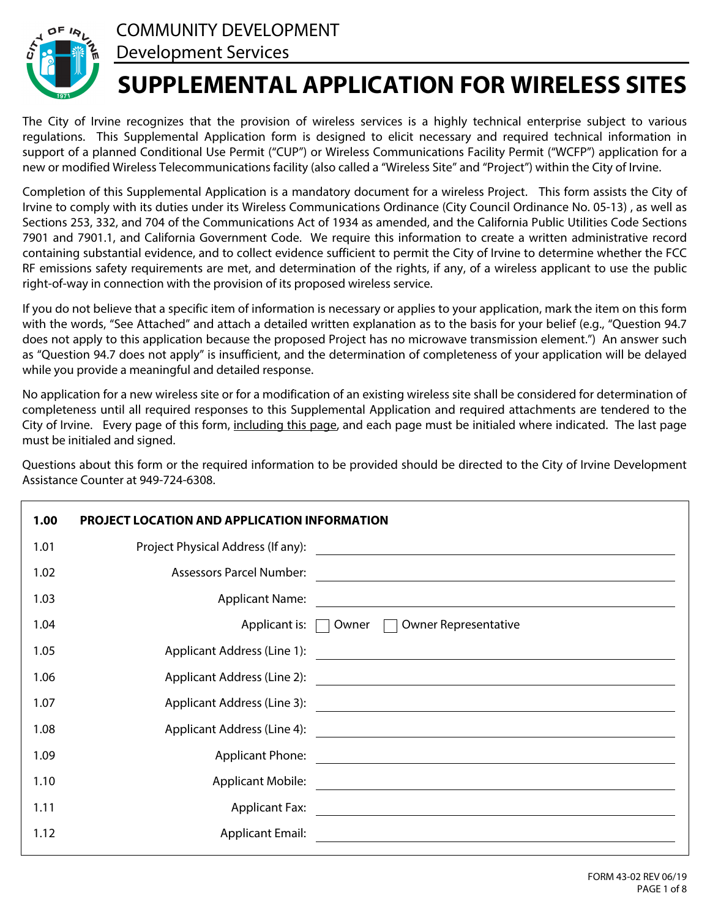



The City of Irvine recognizes that the provision of wireless services is a highly technical enterprise subject to various regulations. This Supplemental Application form is designed to elicit necessary and required technical information in support of a planned Conditional Use Permit ("CUP") or Wireless Communications Facility Permit ("WCFP") application for a new or modified Wireless Telecommunications facility (also called a "Wireless Site" and "Project") within the City of Irvine.

Completion of this Supplemental Application is a mandatory document for a wireless Project. This form assists the City of Irvine to comply with its duties under its Wireless Communications Ordinance (City Council Ordinance No. 05-13) , as well as Sections 253, 332, and 704 of the Communications Act of 1934 as amended, and the California Public Utilities Code Sections 7901 and 7901.1, and California Government Code. We require this information to create a written administrative record containing substantial evidence, and to collect evidence sufficient to permit the City of Irvine to determine whether the FCC RF emissions safety requirements are met, and determination of the rights, if any, of a wireless applicant to use the public right-of-way in connection with the provision of its proposed wireless service.

If you do not believe that a specific item of information is necessary or applies to your application, mark the item on this form with the words, "See Attached" and attach a detailed written explanation as to the basis for your belief (e.g., "Question 94.7 does not apply to this application because the proposed Project has no microwave transmission element.") An answer such as "Question 94.7 does not apply" is insufficient, and the determination of completeness of your application will be delayed while you provide a meaningful and detailed response.

No application for a new wireless site or for a modification of an existing wireless site shall be considered for determination of completeness until all required responses to this Supplemental Application and required attachments are tendered to the City of Irvine. Every page of this form, including this page, and each page must be initialed where indicated. The last page must be initialed and signed.

Questions about this form or the required information to be provided should be directed to the City of Irvine Development Assistance Counter at 949-724-6308.

| 1.00 | <b>PROJECT LOCATION AND APPLICATION INFORMATION</b> |                                                                                                                        |
|------|-----------------------------------------------------|------------------------------------------------------------------------------------------------------------------------|
| 1.01 | Project Physical Address (If any):                  |                                                                                                                        |
| 1.02 | <b>Assessors Parcel Number:</b>                     | <u> 1989 - Johann Barn, amerikan bestemanns og forskellige og det blev til store og det blev til store og det blev</u> |
| 1.03 |                                                     |                                                                                                                        |
| 1.04 |                                                     | <b>Owner Representative</b><br>Applicant is: $\Box$ Owner $\Box$                                                       |
| 1.05 |                                                     |                                                                                                                        |
| 1.06 |                                                     | Applicant Address (Line 2): 2008 2009 2012 2022 2023 2024 2022 2023 2024 2022 2023 2024 2022 2023 2024 2022 20         |
| 1.07 |                                                     |                                                                                                                        |
| 1.08 |                                                     |                                                                                                                        |
| 1.09 | <b>Applicant Phone:</b>                             | <u> Andreas Andreas Andreas Andreas Andreas Andreas Andreas Andreas Andreas Andreas Andreas Andreas Andreas Andr</u>   |
| 1.10 |                                                     |                                                                                                                        |
| 1.11 | <b>Applicant Fax:</b>                               |                                                                                                                        |
| 1.12 | <b>Applicant Email:</b>                             |                                                                                                                        |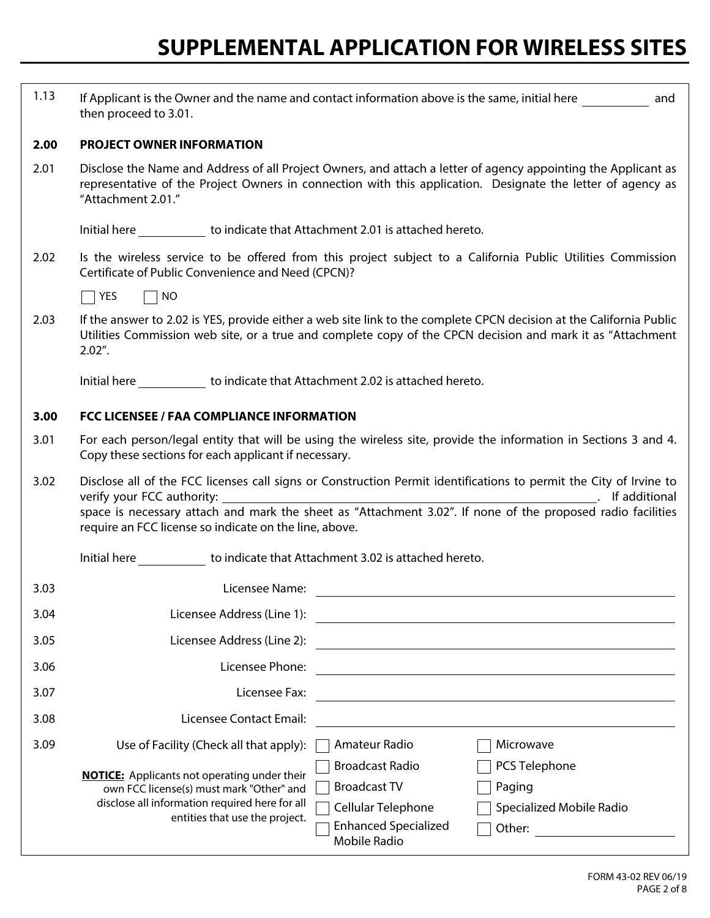| 1.13 | If Applicant is the Owner and the name and contact information above is the same, initial here<br>and<br>then proceed to 3.01.                                                                                                                                                                                                                                             |  |  |  |
|------|----------------------------------------------------------------------------------------------------------------------------------------------------------------------------------------------------------------------------------------------------------------------------------------------------------------------------------------------------------------------------|--|--|--|
| 2.00 | <b>PROJECT OWNER INFORMATION</b>                                                                                                                                                                                                                                                                                                                                           |  |  |  |
| 2.01 | Disclose the Name and Address of all Project Owners, and attach a letter of agency appointing the Applicant as<br>representative of the Project Owners in connection with this application. Designate the letter of agency as<br>"Attachment 2.01."                                                                                                                        |  |  |  |
|      | Initial here _____________ to indicate that Attachment 2.01 is attached hereto.                                                                                                                                                                                                                                                                                            |  |  |  |
| 2.02 | Is the wireless service to be offered from this project subject to a California Public Utilities Commission<br>Certificate of Public Convenience and Need (CPCN)?                                                                                                                                                                                                          |  |  |  |
|      | YES<br><b>NO</b>                                                                                                                                                                                                                                                                                                                                                           |  |  |  |
| 2.03 | If the answer to 2.02 is YES, provide either a web site link to the complete CPCN decision at the California Public<br>Utilities Commission web site, or a true and complete copy of the CPCN decision and mark it as "Attachment<br>$2.02"$ .                                                                                                                             |  |  |  |
|      | Initial here to indicate that Attachment 2.02 is attached hereto.                                                                                                                                                                                                                                                                                                          |  |  |  |
| 3.00 | <b>FCC LICENSEE / FAA COMPLIANCE INFORMATION</b>                                                                                                                                                                                                                                                                                                                           |  |  |  |
| 3.01 | For each person/legal entity that will be using the wireless site, provide the information in Sections 3 and 4.<br>Copy these sections for each applicant if necessary.                                                                                                                                                                                                    |  |  |  |
| 3.02 | Disclose all of the FCC licenses call signs or Construction Permit identifications to permit the City of Irvine to<br>require an FCC license so indicate on the line, above.                                                                                                                                                                                               |  |  |  |
|      | Initial here to indicate that Attachment 3.02 is attached hereto.                                                                                                                                                                                                                                                                                                          |  |  |  |
| 3.03 | Licensee Name:                                                                                                                                                                                                                                                                                                                                                             |  |  |  |
| 3.04 | Licensee Address (Line 1):<br><u> 1989 - Johann Stoff, deutscher Stoff, der Stoff, der Stoff, der Stoff, der Stoff, der Stoff, der Stoff, der S</u>                                                                                                                                                                                                                        |  |  |  |
| 3.05 | Licensee Address (Line 2):                                                                                                                                                                                                                                                                                                                                                 |  |  |  |
| 3.06 | Licensee Phone:                                                                                                                                                                                                                                                                                                                                                            |  |  |  |
| 3.07 | Licensee Fax:<br><u> 1980 - Johann Barbara, martxa alemaniar amerikan a</u>                                                                                                                                                                                                                                                                                                |  |  |  |
| 3.08 | Licensee Contact Email:                                                                                                                                                                                                                                                                                                                                                    |  |  |  |
| 3.09 | Amateur Radio<br>Use of Facility (Check all that apply):<br>Microwave                                                                                                                                                                                                                                                                                                      |  |  |  |
|      | <b>Broadcast Radio</b><br>PCS Telephone<br><b>NOTICE:</b> Applicants not operating under their<br><b>Broadcast TV</b><br>Paging<br>own FCC license(s) must mark "Other" and<br>disclose all information required here for all<br>Cellular Telephone<br>Specialized Mobile Radio<br>entities that use the project.<br><b>Enhanced Specialized</b><br>Other:<br>Mobile Radio |  |  |  |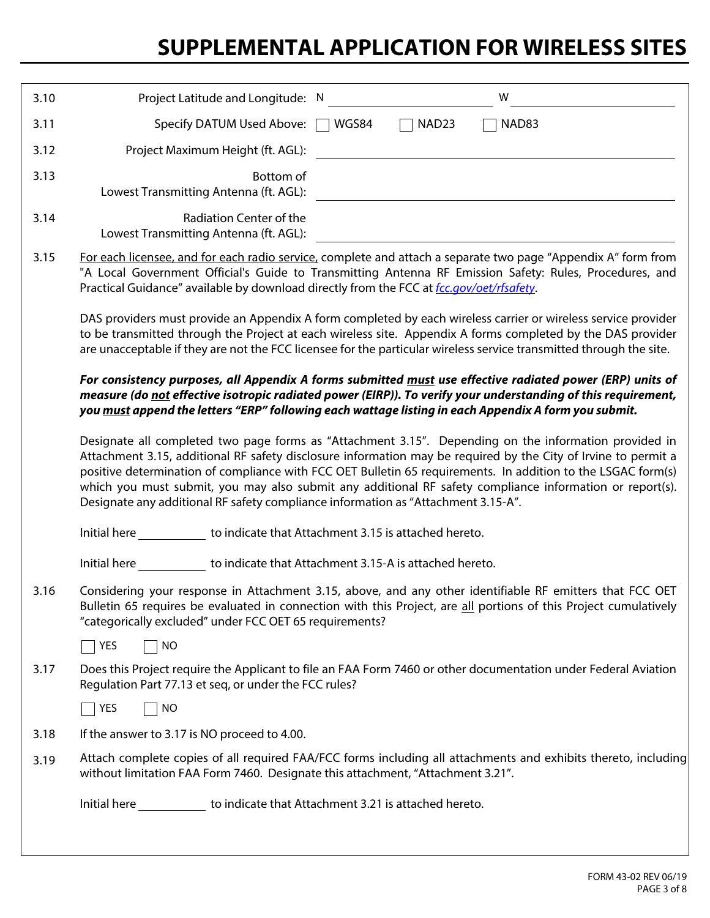| 3.10                                                                                                                                                                                                                                                                                                                               |                                                                                                                                                                                                                                                                                                                                                                                                                                                                                                                                          | Project Latitude and Longitude: N                                 |       |                   | W     |  |
|------------------------------------------------------------------------------------------------------------------------------------------------------------------------------------------------------------------------------------------------------------------------------------------------------------------------------------|------------------------------------------------------------------------------------------------------------------------------------------------------------------------------------------------------------------------------------------------------------------------------------------------------------------------------------------------------------------------------------------------------------------------------------------------------------------------------------------------------------------------------------------|-------------------------------------------------------------------|-------|-------------------|-------|--|
| 3.11                                                                                                                                                                                                                                                                                                                               |                                                                                                                                                                                                                                                                                                                                                                                                                                                                                                                                          | Specify DATUM Used Above:                                         | WGS84 | NAD <sub>23</sub> | NAD83 |  |
| 3.12                                                                                                                                                                                                                                                                                                                               |                                                                                                                                                                                                                                                                                                                                                                                                                                                                                                                                          | Project Maximum Height (ft. AGL):                                 |       |                   |       |  |
| 3.13                                                                                                                                                                                                                                                                                                                               |                                                                                                                                                                                                                                                                                                                                                                                                                                                                                                                                          | Bottom of<br>Lowest Transmitting Antenna (ft. AGL):               |       |                   |       |  |
| 3.14                                                                                                                                                                                                                                                                                                                               |                                                                                                                                                                                                                                                                                                                                                                                                                                                                                                                                          | Radiation Center of the<br>Lowest Transmitting Antenna (ft. AGL): |       |                   |       |  |
| 3.15                                                                                                                                                                                                                                                                                                                               | For each licensee, and for each radio service, complete and attach a separate two page "Appendix A" form from<br>"A Local Government Official's Guide to Transmitting Antenna RF Emission Safety: Rules, Procedures, and<br>Practical Guidance" available by download directly from the FCC at fcc.gov/oet/rfsafety.                                                                                                                                                                                                                     |                                                                   |       |                   |       |  |
|                                                                                                                                                                                                                                                                                                                                    | DAS providers must provide an Appendix A form completed by each wireless carrier or wireless service provider<br>to be transmitted through the Project at each wireless site. Appendix A forms completed by the DAS provider<br>are unacceptable if they are not the FCC licensee for the particular wireless service transmitted through the site.                                                                                                                                                                                      |                                                                   |       |                   |       |  |
| For consistency purposes, all Appendix A forms submitted must use effective radiated power (ERP) units of<br>measure (do not effective isotropic radiated power (EIRP)). To verify your understanding of this requirement,<br>you must append the letters "ERP" following each wattage listing in each Appendix A form you submit. |                                                                                                                                                                                                                                                                                                                                                                                                                                                                                                                                          |                                                                   |       |                   |       |  |
|                                                                                                                                                                                                                                                                                                                                    | Designate all completed two page forms as "Attachment 3.15". Depending on the information provided in<br>Attachment 3.15, additional RF safety disclosure information may be required by the City of Irvine to permit a<br>positive determination of compliance with FCC OET Bulletin 65 requirements. In addition to the LSGAC form(s)<br>which you must submit, you may also submit any additional RF safety compliance information or report(s).<br>Designate any additional RF safety compliance information as "Attachment 3.15-A". |                                                                   |       |                   |       |  |
|                                                                                                                                                                                                                                                                                                                                    | Initial here                                                                                                                                                                                                                                                                                                                                                                                                                                                                                                                             | to indicate that Attachment 3.15 is attached hereto.              |       |                   |       |  |
|                                                                                                                                                                                                                                                                                                                                    | Initial here                                                                                                                                                                                                                                                                                                                                                                                                                                                                                                                             | to indicate that Attachment 3.15-A is attached hereto.            |       |                   |       |  |
| 3.16                                                                                                                                                                                                                                                                                                                               | Considering your response in Attachment 3.15, above, and any other identifiable RF emitters that FCC OET<br>Bulletin 65 requires be evaluated in connection with this Project, are all portions of this Project cumulatively<br>"categorically excluded" under FCC OET 65 requirements?                                                                                                                                                                                                                                                  |                                                                   |       |                   |       |  |
|                                                                                                                                                                                                                                                                                                                                    | $\top$ YES<br><b>NO</b>                                                                                                                                                                                                                                                                                                                                                                                                                                                                                                                  |                                                                   |       |                   |       |  |
| 3.17                                                                                                                                                                                                                                                                                                                               | Does this Project require the Applicant to file an FAA Form 7460 or other documentation under Federal Aviation<br>Regulation Part 77.13 et seq, or under the FCC rules?                                                                                                                                                                                                                                                                                                                                                                  |                                                                   |       |                   |       |  |
|                                                                                                                                                                                                                                                                                                                                    | <b>NO</b><br>YES                                                                                                                                                                                                                                                                                                                                                                                                                                                                                                                         |                                                                   |       |                   |       |  |
| 3.18                                                                                                                                                                                                                                                                                                                               | If the answer to 3.17 is NO proceed to 4.00.                                                                                                                                                                                                                                                                                                                                                                                                                                                                                             |                                                                   |       |                   |       |  |
| 3.19                                                                                                                                                                                                                                                                                                                               | Attach complete copies of all required FAA/FCC forms including all attachments and exhibits thereto, including<br>without limitation FAA Form 7460. Designate this attachment, "Attachment 3.21".                                                                                                                                                                                                                                                                                                                                        |                                                                   |       |                   |       |  |
|                                                                                                                                                                                                                                                                                                                                    | Initial here <b>contract that Attachment 3.21</b> is attached hereto.                                                                                                                                                                                                                                                                                                                                                                                                                                                                    |                                                                   |       |                   |       |  |
|                                                                                                                                                                                                                                                                                                                                    |                                                                                                                                                                                                                                                                                                                                                                                                                                                                                                                                          |                                                                   |       |                   |       |  |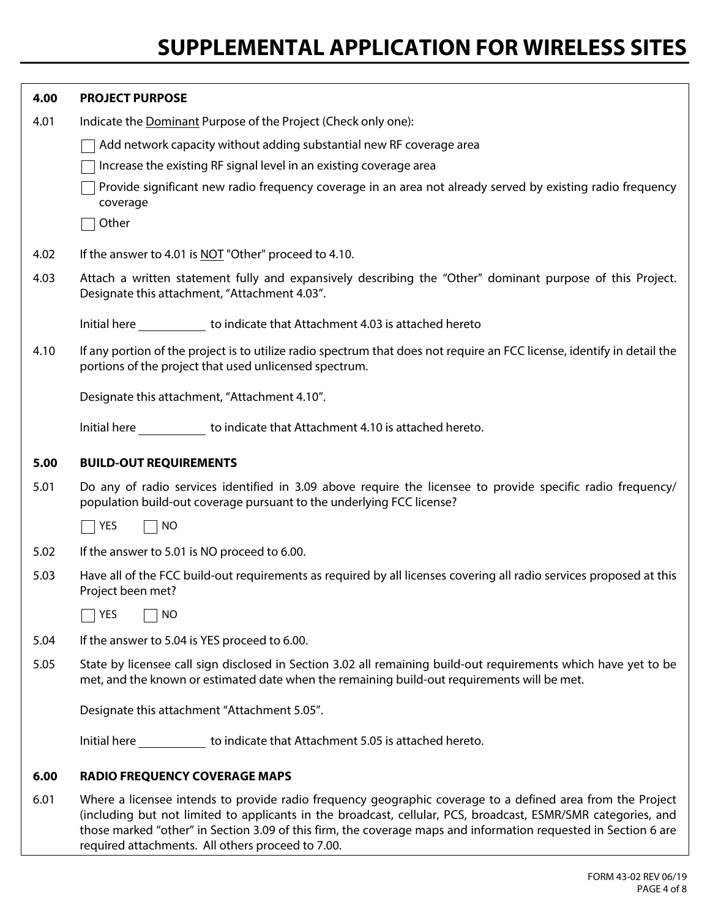| 4.00 | <b>PROJECT PURPOSE</b>                                                                                                                                                                                                                                                                                                                         |  |  |  |
|------|------------------------------------------------------------------------------------------------------------------------------------------------------------------------------------------------------------------------------------------------------------------------------------------------------------------------------------------------|--|--|--|
| 4.01 | Indicate the Dominant Purpose of the Project (Check only one):                                                                                                                                                                                                                                                                                 |  |  |  |
|      | Add network capacity without adding substantial new RF coverage area                                                                                                                                                                                                                                                                           |  |  |  |
|      | Increase the existing RF signal level in an existing coverage area                                                                                                                                                                                                                                                                             |  |  |  |
|      | Provide significant new radio frequency coverage in an area not already served by existing radio frequency<br>coverage                                                                                                                                                                                                                         |  |  |  |
|      | Other                                                                                                                                                                                                                                                                                                                                          |  |  |  |
| 4.02 | If the answer to 4.01 is NOT "Other" proceed to 4.10.                                                                                                                                                                                                                                                                                          |  |  |  |
| 4.03 | Attach a written statement fully and expansively describing the "Other" dominant purpose of this Project.<br>Designate this attachment, "Attachment 4.03".                                                                                                                                                                                     |  |  |  |
|      | Initial here <b><i>Laborance indicate that Attachment 4.03</i></b> is attached hereto                                                                                                                                                                                                                                                          |  |  |  |
| 4.10 | If any portion of the project is to utilize radio spectrum that does not require an FCC license, identify in detail the<br>portions of the project that used unlicensed spectrum.                                                                                                                                                              |  |  |  |
|      | Designate this attachment, "Attachment 4.10".                                                                                                                                                                                                                                                                                                  |  |  |  |
|      | Initial here to indicate that Attachment 4.10 is attached hereto.                                                                                                                                                                                                                                                                              |  |  |  |
| 5.00 | <b>BUILD-OUT REQUIREMENTS</b>                                                                                                                                                                                                                                                                                                                  |  |  |  |
| 5.01 | Do any of radio services identified in 3.09 above require the licensee to provide specific radio frequency/<br>population build-out coverage pursuant to the underlying FCC license?                                                                                                                                                           |  |  |  |
|      | <b>NO</b><br>YES                                                                                                                                                                                                                                                                                                                               |  |  |  |
| 5.02 | If the answer to 5.01 is NO proceed to 6.00.                                                                                                                                                                                                                                                                                                   |  |  |  |
| 5.03 | Have all of the FCC build-out requirements as required by all licenses covering all radio services proposed at this<br>Project been met?                                                                                                                                                                                                       |  |  |  |
|      | YES<br>NO                                                                                                                                                                                                                                                                                                                                      |  |  |  |
| 5.04 | If the answer to 5.04 is YES proceed to 6.00.                                                                                                                                                                                                                                                                                                  |  |  |  |
| 5.05 | State by licensee call sign disclosed in Section 3.02 all remaining build-out requirements which have yet to be<br>met, and the known or estimated date when the remaining build-out requirements will be met.                                                                                                                                 |  |  |  |
|      | Designate this attachment "Attachment 5.05".                                                                                                                                                                                                                                                                                                   |  |  |  |
|      | Initial here to indicate that Attachment 5.05 is attached hereto.                                                                                                                                                                                                                                                                              |  |  |  |
| 6.00 | <b>RADIO FREQUENCY COVERAGE MAPS</b>                                                                                                                                                                                                                                                                                                           |  |  |  |
| 6.01 | Where a licensee intends to provide radio frequency geographic coverage to a defined area from the Project<br>(including but not limited to applicants in the broadcast, cellular, PCS, broadcast, ESMR/SMR categories, and<br>those marked "other" in Section 3.09 of this firm, the coverage maps and information requested in Section 6 are |  |  |  |

required attachments. All others proceed to 7.00.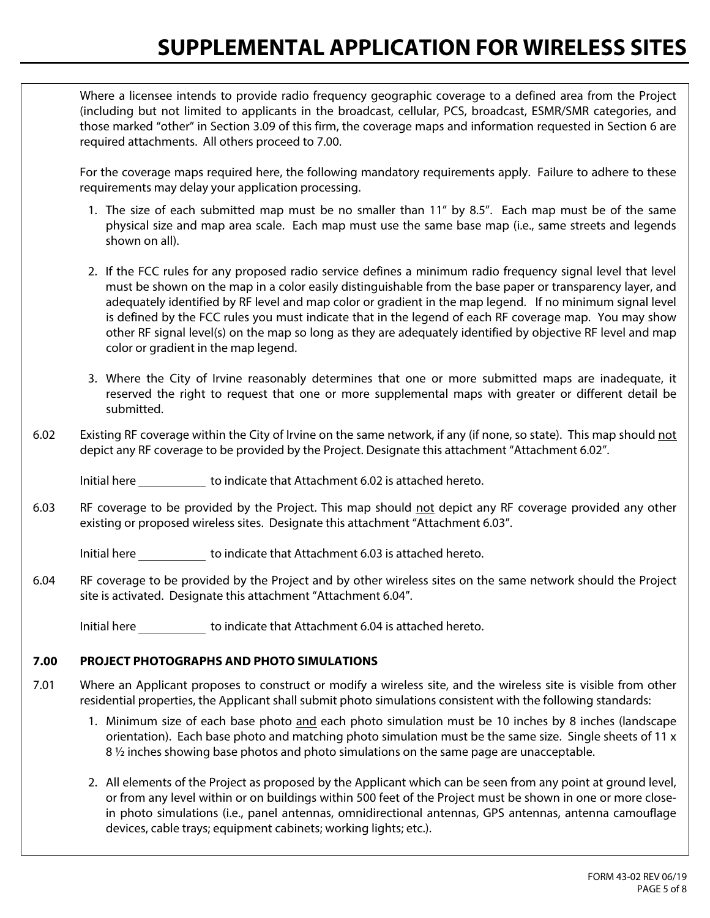Where a licensee intends to provide radio frequency geographic coverage to a defined area from the Project (including but not limited to applicants in the broadcast, cellular, PCS, broadcast, ESMR/SMR categories, and those marked "other" in Section 3.09 of this firm, the coverage maps and information requested in Section 6 are required attachments. All others proceed to 7.00.

For the coverage maps required here, the following mandatory requirements apply. Failure to adhere to these requirements may delay your application processing.

- 1. The size of each submitted map must be no smaller than 11" by 8.5". Each map must be of the same physical size and map area scale. Each map must use the same base map (i.e., same streets and legends shown on all).
- 2. If the FCC rules for any proposed radio service defines a minimum radio frequency signal level that level must be shown on the map in a color easily distinguishable from the base paper or transparency layer, and adequately identified by RF level and map color or gradient in the map legend. If no minimum signal level is defined by the FCC rules you must indicate that in the legend of each RF coverage map. You may show other RF signal level(s) on the map so long as they are adequately identified by objective RF level and map color or gradient in the map legend.
- 3. Where the City of Irvine reasonably determines that one or more submitted maps are inadequate, it reserved the right to request that one or more supplemental maps with greater or different detail be submitted.
- 6.02 Existing RF coverage within the City of Irvine on the same network, if any (if none, so state). This map should not depict any RF coverage to be provided by the Project. Designate this attachment "Attachment 6.02".

Initial here to indicate that Attachment 6.02 is attached hereto.

6.03 RF coverage to be provided by the Project. This map should not depict any RF coverage provided any other existing or proposed wireless sites. Designate this attachment "Attachment 6.03".

Initial here to indicate that Attachment 6.03 is attached hereto.

6.04 RF coverage to be provided by the Project and by other wireless sites on the same network should the Project site is activated. Designate this attachment "Attachment 6.04".

Initial here to indicate that Attachment 6.04 is attached hereto.

#### **7.00 PROJECT PHOTOGRAPHS AND PHOTO SIMULATIONS**

- 7.01 Where an Applicant proposes to construct or modify a wireless site, and the wireless site is visible from other residential properties, the Applicant shall submit photo simulations consistent with the following standards:
	- 1. Minimum size of each base photo and each photo simulation must be 10 inches by 8 inches (landscape orientation). Each base photo and matching photo simulation must be the same size. Single sheets of 11 x 8 <sup>1</sup>/<sub>2</sub> inches showing base photos and photo simulations on the same page are unacceptable.
	- 2. All elements of the Project as proposed by the Applicant which can be seen from any point at ground level, or from any level within or on buildings within 500 feet of the Project must be shown in one or more closein photo simulations (i.e., panel antennas, omnidirectional antennas, GPS antennas, antenna camouflage devices, cable trays; equipment cabinets; working lights; etc.).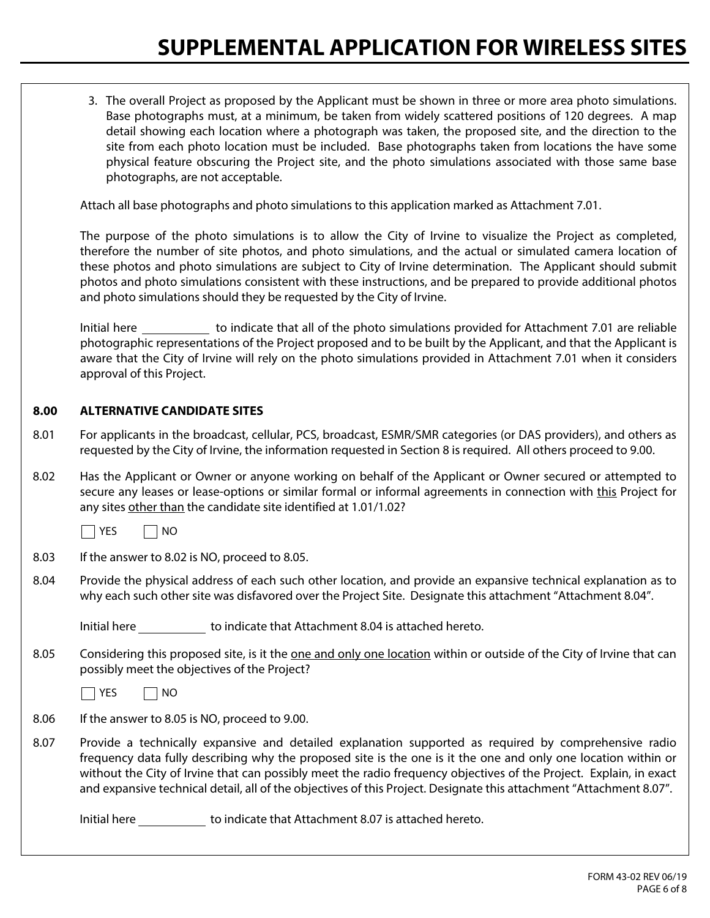3. The overall Project as proposed by the Applicant must be shown in three or more area photo simulations. Base photographs must, at a minimum, be taken from widely scattered positions of 120 degrees. A map detail showing each location where a photograph was taken, the proposed site, and the direction to the site from each photo location must be included. Base photographs taken from locations the have some physical feature obscuring the Project site, and the photo simulations associated with those same base photographs, are not acceptable.

Attach all base photographs and photo simulations to this application marked as Attachment 7.01.

The purpose of the photo simulations is to allow the City of Irvine to visualize the Project as completed, therefore the number of site photos, and photo simulations, and the actual or simulated camera location of these photos and photo simulations are subject to City of Irvine determination. The Applicant should submit photos and photo simulations consistent with these instructions, and be prepared to provide additional photos and photo simulations should they be requested by the City of Irvine.

Initial here to indicate that all of the photo simulations provided for Attachment 7.01 are reliable photographic representations of the Project proposed and to be built by the Applicant, and that the Applicant is aware that the City of Irvine will rely on the photo simulations provided in Attachment 7.01 when it considers approval of this Project.

#### **8.00 ALTERNATIVE CANDIDATE SITES**

- 8.01 For applicants in the broadcast, cellular, PCS, broadcast, ESMR/SMR categories (or DAS providers), and others as requested by the City of Irvine, the information requested in Section 8 is required. All others proceed to 9.00.
- 8.02 Has the Applicant or Owner or anyone working on behalf of the Applicant or Owner secured or attempted to secure any leases or lease-options or similar formal or informal agreements in connection with this Project for any sites other than the candidate site identified at 1.01/1.02?



8.03 If the answer to 8.02 is NO, proceed to 8.05.

8.04 Provide the physical address of each such other location, and provide an expansive technical explanation as to why each such other site was disfavored over the Project Site. Designate this attachment "Attachment 8.04".

Initial here to indicate that Attachment 8.04 is attached hereto.

8.05 Considering this proposed site, is it the one and only one location within or outside of the City of Irvine that can possibly meet the objectives of the Project?

 $\neg$  Yes  $\neg$  No

8.06 If the answer to 8.05 is NO, proceed to 9.00.

8.07 Provide a technically expansive and detailed explanation supported as required by comprehensive radio frequency data fully describing why the proposed site is the one is it the one and only one location within or without the City of Irvine that can possibly meet the radio frequency objectives of the Project. Explain, in exact and expansive technical detail, all of the objectives of this Project. Designate this attachment "Attachment 8.07".

Initial here to indicate that Attachment 8.07 is attached hereto.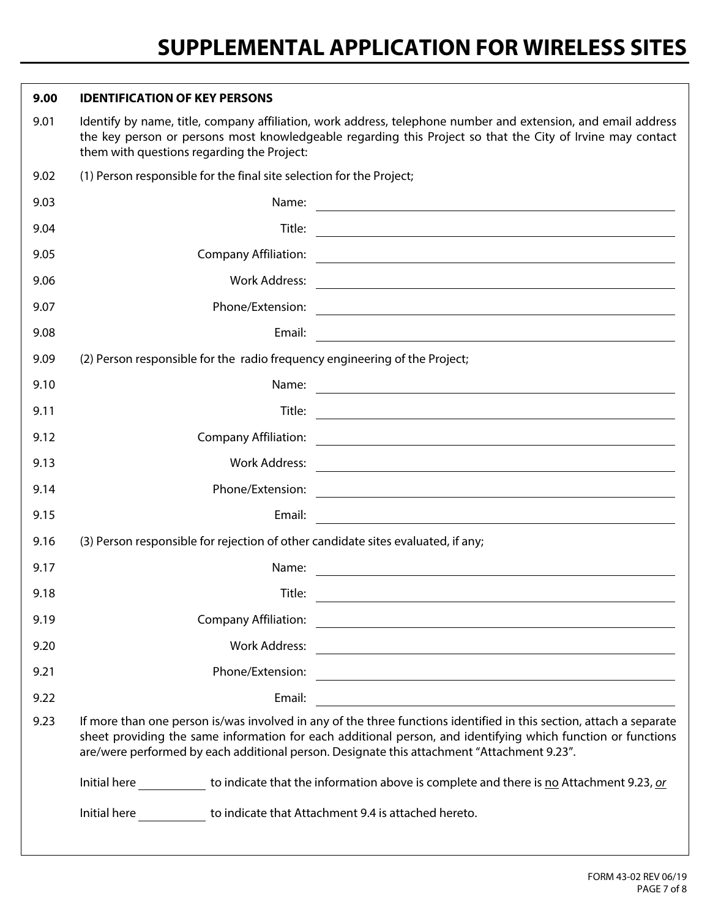| 9.00                                                                                                                                                                                                                                                                                                                                      | <b>IDENTIFICATION OF KEY PERSONS</b>                                                                                                                                                                                                                                      |                                                                                                                        |  |
|-------------------------------------------------------------------------------------------------------------------------------------------------------------------------------------------------------------------------------------------------------------------------------------------------------------------------------------------|---------------------------------------------------------------------------------------------------------------------------------------------------------------------------------------------------------------------------------------------------------------------------|------------------------------------------------------------------------------------------------------------------------|--|
| 9.01                                                                                                                                                                                                                                                                                                                                      | Identify by name, title, company affiliation, work address, telephone number and extension, and email address<br>the key person or persons most knowledgeable regarding this Project so that the City of Irvine may contact<br>them with questions regarding the Project: |                                                                                                                        |  |
| 9.02                                                                                                                                                                                                                                                                                                                                      | (1) Person responsible for the final site selection for the Project;                                                                                                                                                                                                      |                                                                                                                        |  |
| 9.03                                                                                                                                                                                                                                                                                                                                      | Name:                                                                                                                                                                                                                                                                     | <u> 1989 - Johann Stoff, deutscher Stoffen und der Stoffen und der Stoffen und der Stoffen und der Stoffen und der</u> |  |
| 9.04                                                                                                                                                                                                                                                                                                                                      | Title:                                                                                                                                                                                                                                                                    |                                                                                                                        |  |
| 9.05                                                                                                                                                                                                                                                                                                                                      | <b>Company Affiliation:</b>                                                                                                                                                                                                                                               | <u> 1980 - Andrea Stadt Britain, fransk politik (f. 1980)</u>                                                          |  |
| 9.06                                                                                                                                                                                                                                                                                                                                      | <b>Work Address:</b>                                                                                                                                                                                                                                                      | <u> 1980 - Andrea Andrew Maria (h. 1980).</u>                                                                          |  |
| 9.07                                                                                                                                                                                                                                                                                                                                      |                                                                                                                                                                                                                                                                           |                                                                                                                        |  |
| 9.08                                                                                                                                                                                                                                                                                                                                      | Email:                                                                                                                                                                                                                                                                    | <u> 1989 - Johann Barbara, martxa alemaniar arg</u>                                                                    |  |
| 9.09                                                                                                                                                                                                                                                                                                                                      | (2) Person responsible for the radio frequency engineering of the Project;                                                                                                                                                                                                |                                                                                                                        |  |
| 9.10                                                                                                                                                                                                                                                                                                                                      | Name:                                                                                                                                                                                                                                                                     | <u> 1989 - Johann Barbara, martin amerikan basar dan basa dan basa dan basa dan basa dan basa dan basa dan basa</u>    |  |
| 9.11                                                                                                                                                                                                                                                                                                                                      | Title:                                                                                                                                                                                                                                                                    | <u> 1989 - Johann Barbara, martxa amerikan personal (h. 1989).</u>                                                     |  |
| 9.12                                                                                                                                                                                                                                                                                                                                      | <b>Company Affiliation:</b>                                                                                                                                                                                                                                               | <u> 1980 - Johann Stoff, deutscher Stoffen und der Stoffen und der Stoffen und der Stoffen und der Stoffen und der</u> |  |
| 9.13                                                                                                                                                                                                                                                                                                                                      | <b>Work Address:</b>                                                                                                                                                                                                                                                      | <u> Andreas Andreas Andreas Andreas Andreas Andreas Andreas Andreas Andreas Andreas Andreas Andreas Andreas Andr</u>   |  |
| 9.14                                                                                                                                                                                                                                                                                                                                      | Phone/Extension:                                                                                                                                                                                                                                                          | <u> Alexandria de la contrada de la contrada de la contrada de la contrada de la contrada de la contrada de la c</u>   |  |
| 9.15                                                                                                                                                                                                                                                                                                                                      | Email:                                                                                                                                                                                                                                                                    | <u> 1989 - Johann Barbara, martxa alemaniar arg</u>                                                                    |  |
| 9.16                                                                                                                                                                                                                                                                                                                                      | (3) Person responsible for rejection of other candidate sites evaluated, if any;                                                                                                                                                                                          |                                                                                                                        |  |
| 9.17                                                                                                                                                                                                                                                                                                                                      | Name:                                                                                                                                                                                                                                                                     | <u> 1980 - Johann Barn, fransk politik (f. 1980)</u>                                                                   |  |
| 9.18                                                                                                                                                                                                                                                                                                                                      | Title:                                                                                                                                                                                                                                                                    | <u> 1989 - Johann Stein, marwolaethau a bhann an t-Amhain ann an t-Amhain an t-Amhain an t-Amhain an t-Amhain an </u>  |  |
| 9.19                                                                                                                                                                                                                                                                                                                                      | <b>Company Affiliation:</b>                                                                                                                                                                                                                                               | <u> 1989 - Johann Stoff, deutscher Stoffen und der Stoffen und der Stoffen und der Stoffen und der Stoffen und der</u> |  |
| 9.20                                                                                                                                                                                                                                                                                                                                      | <b>Work Address:</b>                                                                                                                                                                                                                                                      |                                                                                                                        |  |
| 9.21                                                                                                                                                                                                                                                                                                                                      | Phone/Extension:                                                                                                                                                                                                                                                          | <u> 1980 - Johann Barbara, martxa alemaniar amerikan a</u>                                                             |  |
| 9.22                                                                                                                                                                                                                                                                                                                                      | Email:                                                                                                                                                                                                                                                                    |                                                                                                                        |  |
| If more than one person is/was involved in any of the three functions identified in this section, attach a separate<br>9.23<br>sheet providing the same information for each additional person, and identifying which function or functions<br>are/were performed by each additional person. Designate this attachment "Attachment 9.23". |                                                                                                                                                                                                                                                                           |                                                                                                                        |  |
|                                                                                                                                                                                                                                                                                                                                           |                                                                                                                                                                                                                                                                           | Initial here to indicate that the information above is complete and there is no Attachment 9.23, or                    |  |
|                                                                                                                                                                                                                                                                                                                                           | Initial here _____________ to indicate that Attachment 9.4 is attached hereto.                                                                                                                                                                                            |                                                                                                                        |  |